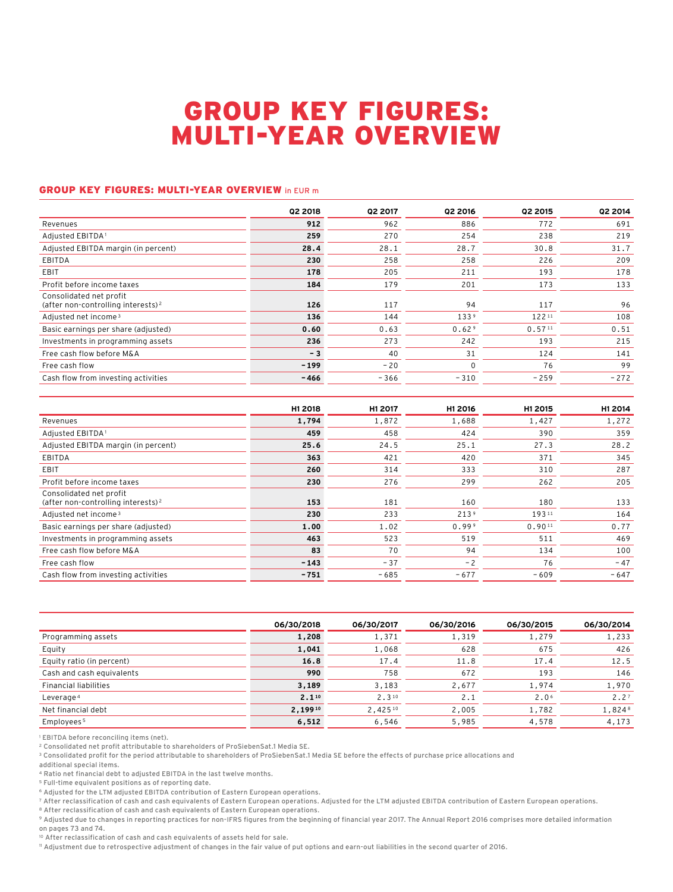## GROUP KEY FIGURES: MULTI-YEAR OVERVIEW

## GROUP KEY FIGURES: MULTI-YEAR OVERVIEW in EUR m

|                                                                           | Q2 2018 | <b>Q2 2017</b> | Q2 2016           | Q2 2015 | <b>Q2 2014</b> |
|---------------------------------------------------------------------------|---------|----------------|-------------------|---------|----------------|
| Revenues                                                                  | 912     | 962            | 886               | 772     | 691            |
| Adjusted EBITDA <sup>1</sup>                                              | 259     | 270            | 254               | 238     | 219            |
| Adjusted EBITDA margin (in percent)                                       | 28.4    | 28.1           | 28.7              | 30.8    | 31.7           |
| EBITDA                                                                    | 230     | 258            | 258               | 226     | 209            |
| EBIT                                                                      | 178     | 205            | 211               | 193     | 178            |
| Profit before income taxes                                                | 184     | 179            | 201               | 173     | 133            |
| Consolidated net profit<br>(after non-controlling interests) <sup>2</sup> | 126     | 117            | 94                | 117     | 96             |
| Adjusted net income <sup>3</sup>                                          | 136     | 144            | 133 <sup>9</sup>  | 12211   | 108            |
| Basic earnings per share (adjusted)                                       | 0.60    | 0.63           | 0.62 <sup>9</sup> | 0.5711  | 0.51           |
| Investments in programming assets                                         | 236     | 273            | 242               | 193     | 215            |
| Free cash flow before M&A                                                 | $-3$    | 40             | 31                | 124     | 141            |
| Free cash flow                                                            | $-199$  | $-20$          | $\mathbf 0$       | 76      | 99             |
| Cash flow from investing activities                                       | $-466$  | $-366$         | $-310$            | $-259$  | $-272$         |

|                                                                           | H1 2018 | H1 2017 | H1 2016          | H1 2015 | H1 2014 |
|---------------------------------------------------------------------------|---------|---------|------------------|---------|---------|
| Revenues                                                                  | 1,794   | 1,872   | 1,688            | 1,427   | 1,272   |
| Adjusted EBITDA <sup>1</sup>                                              | 459     | 458     | 424              | 390     | 359     |
| Adjusted EBITDA margin (in percent)                                       | 25.6    | 24.5    | 25.1             | 27.3    | 28.2    |
| <b>EBITDA</b>                                                             | 363     | 421     | 420              | 371     | 345     |
| EBIT                                                                      | 260     | 314     | 333              | 310     | 287     |
| Profit before income taxes                                                | 230     | 276     | 299              | 262     | 205     |
| Consolidated net profit<br>(after non-controlling interests) <sup>2</sup> | 153     | 181     | 160              | 180     | 133     |
| Adjusted net income <sup>3</sup>                                          | 230     | 233     | 213 <sup>9</sup> | 19311   | 164     |
| Basic earnings per share (adjusted)                                       | 1.00    | 1.02    | 0.999            | 0.9011  | 0.77    |
| Investments in programming assets                                         | 463     | 523     | 519              | 511     | 469     |
| Free cash flow before M&A                                                 | 83      | 70      | 94               | 134     | 100     |
| Free cash flow                                                            | $-143$  | $-37$   | $-2$             | 76      | $-47$   |
| Cash flow from investing activities                                       | $-751$  | $-685$  | $-677$           | $-609$  | $-647$  |

|                              | 06/30/2018 | 06/30/2017 | 06/30/2016 | 06/30/2015       | 06/30/2014 |
|------------------------------|------------|------------|------------|------------------|------------|
| Programming assets           | 1,208      | 1,371      | 1,319      | 1,279            | 1,233      |
| Equity                       | 1,041      | 1,068      | 628        | 675              | 426        |
| Equity ratio (in percent)    | 16.8       | 17.4       | 11.8       | 17.4             | 12.5       |
| Cash and cash equivalents    | 990        | 758        | 672        | 193              | 146        |
| <b>Financial liabilities</b> | 3,189      | 3,183      | 2,677      | 1,974            | 1,970      |
| Leverage 4                   | 2.110      | $2.3^{10}$ | 2.1        | 2.0 <sup>6</sup> | 2.27       |
| Net financial debt           | 2,19910    | 2,42510    | 2,005      | 1,782            | 1,8248     |
| Employees <sup>5</sup>       | 6,512      | 6,546      | 5,985      | 4,578            | 4,173      |

<sup>1</sup> EBITDA before reconciling items (net).

2 Consolidated net profit attributable to shareholders of ProSiebenSat.1 Media SE.

<sup>3</sup> Consolidated profit for the period attributable to shareholders of ProSiebenSat.1 Media SE before the effects of purchase price allocations and

additional special items.

4 Ratio net financial debt to adjusted EBITDA in the last twelve months.

5 Full-time equivalent positions as of reporting date.

6 Adjusted for the LTM adjusted EBITDA contribution of Eastern European operations.

7 After reclassification of cash and cash equivalents of Eastern European operations. Adjusted for the LTM adjusted EBITDA contribution of Eastern European operations.

<sup>8</sup> After reclassification of cash and cash equivalents of Eastern European operations.

9 Adjusted due to changes in reporting practices for non-IFRS figures from the beginning of financial year 2017. The Annual Report 2016 comprises more detailed information on pages 73 and 74.

10 After reclassification of cash and cash equivalents of assets held for sale.

11 Adjustment due to retrospective adjustment of changes in the fair value of put options and earn-out liabilities in the second quarter of 2016.